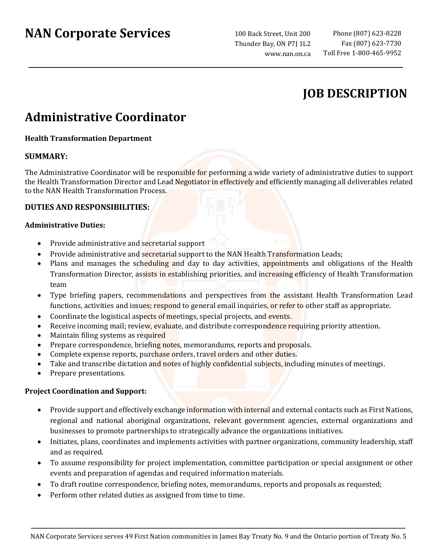# **NAN Corporate Services**

100 Back Street, Unit 200 Thunder Bay, ON P7J 1L2 www.nan.on.ca

# **JOB DESCRIPTION**

# **Administrative Coordinator**

## **Health Transformation Department**

## **SUMMARY:**

The Administrative Coordinator will be responsible for performing a wide variety of administrative duties to support the Health Transformation Director and Lead Negotiator in effectively and efficiently managing all deliverables related to the NAN Health Transformation Process.

### **DUTIES AND RESPONSIBILITIES:**

#### **Administrative Duties:**

- Provide administrative and secretarial support
- Provide administrative and secretarial support to the NAN Health Transformation Leads;
- Plans and manages the scheduling and day to day activities, appointments and obligations of the Health Transformation Director, assists in establishing priorities, and increasing efficiency of Health Transformation team
- Type briefing papers, recommendations and perspectives from the assistant Health Transformation Lead functions, activities and issues; respond to general email inquiries, or refer to other staff as appropriate.
- Coordinate the logistical aspects of meetings, special projects, and events.
- Receive incoming mail; review, evaluate, and distribute correspondence requiring priority attention.
- Maintain filing systems as required
- Prepare correspondence, briefing notes, memorandums, reports and proposals.
- Complete expense reports, purchase orders, travel orders and other duties.
- Take and transcribe dictation and notes of highly confidential subjects, including minutes of meetings.
- Prepare presentations.

#### **Project Coordination and Support:**

- Provide support and effectively exchange information with internal and external contacts such as First Nations, regional and national aboriginal organizations, relevant government agencies, external organizations and businesses to promote partnerships to strategically advance the organizations initiatives.
- Initiates, plans, coordinates and implements activities with partner organizations, community leadership, staff and as required.
- To assume responsibility for project implementation, committee participation or special assignment or other events and preparation of agendas and required information materials.
- To draft routine correspondence, briefing notes, memorandums, reports and proposals as requested;
- Perform other related duties as assigned from time to time.